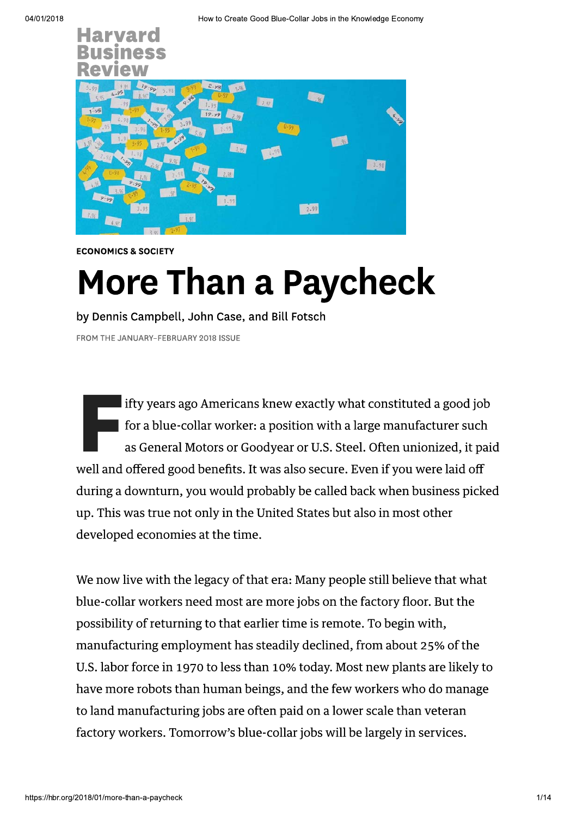

**ECONOMICS & SOCIETY** 

# **More Than a Paycheck**

by Dennis Campbell, John Case, and Bill Fotsch

FROM THE JANUARY-FEBRUARY 2018 ISSUE

 $\blacksquare$  ifty years ago Americans knew exactly what constituted a good job for a blue-collar worker: a position with a large manufacturer such as General Motors or Goodyear or U.S. Steel. Often unionized, it paid well and offered good benefits. It was also secure. Even if you were laid off during a downturn, you would probably be called back when business picked up. This was true not only in the United States but also in most other developed economies at the time.

We now live with the legacy of that era: Many people still believe that what blue-collar workers need most are more jobs on the factory floor. But the possibility of returning to that earlier time is remote. To begin with, manufacturing employment has steadily declined, from about 25% of the U.S. labor force in 1970 to less than 10% today. Most new plants are likely to have more robots than human beings, and the few workers who do manage to land manufacturing jobs are often paid on a lower scale than veteran factory workers. Tomorrow's blue-collar jobs will be largely in services.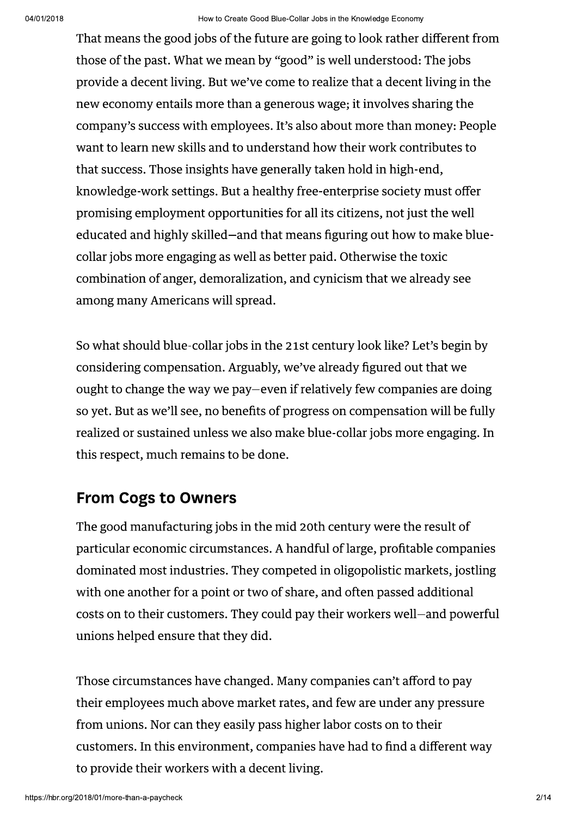That means the good jobs of the future are going to look rather different from those of the past. What we mean by "good" is well understood: The jobs provide a decent living. But we've come to realize that a decent living in the new economy entails more than a generous wage; it involves sharing the company's success with employees. It's also about more than money: People want to learn new skills and to understand how their work contributes to that success. Those insights have generally taken hold in high-end, knowledge-work settings. But a healthy free-enterprise society must offer promising employment opportunities for all its citizens, not just the well educated and highly skilled–and that means figuring out how to make bluecollar jobs more engaging as well as better paid. Otherwise the toxic combination of anger, demoralization, and cynicism that we already see among many Americans will spread.

So what should blue-collar jobs in the 21st century look like? Let's begin by considering compensation. Arguably, we've already figured out that we ought to change the way we pay-even if relatively few companies are doing so yet. But as we'll see, no benefits of progress on compensation will be fully realized or sustained unless we also make blue-collar jobs more engaging. In this respect, much remains to be done.

### **From Cogs to Owners**

The good manufacturing jobs in the mid 20th century were the result of particular economic circumstances. A handful of large, profitable companies dominated most industries. They competed in oligopolistic markets, jostling with one another for a point or two of share, and often passed additional costs on to their customers. They could pay their workers well-and powerful unions helped ensure that they did.

Those circumstances have changed. Many companies can't afford to pay their employees much above market rates, and few are under any pressure from unions. Nor can they easily pass higher labor costs on to their customers. In this environment, companies have had to find a different way to provide their workers with a decent living.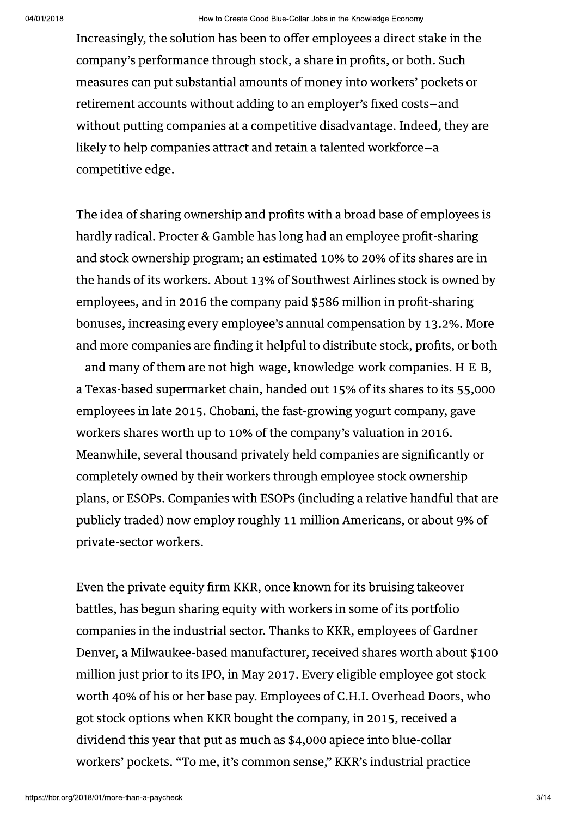Increasingly, the solution has been to offer employees a direct stake in the company's performance through stock, a share in profits, or both. Such measures can put substantial amounts of money into workers' pockets or retirement accounts without adding to an employer's fixed costs-and without putting companies at a competitive disadvantage. Indeed, they are likely to help companies attract and retain a talented workforce-a competitive edge.

The idea of sharing ownership and profits with a broad base of employees is hardly radical. Procter & Gamble has long had an employee profit-sharing and stock ownership program; an estimated 10% to 20% of its shares are in the hands of its workers. About 13% of Southwest Airlines stock is owned by employees, and in 2016 the company paid \$586 million in profit-sharing bonuses, increasing every employee's annual compensation by 13.2%. More and more companies are finding it helpful to distribute stock, profits, or both -and many of them are not high-wage, knowledge-work companies. H-E-B, a Texas-based supermarket chain, handed out 15% of its shares to its 55,000 employees in late 2015. Chobani, the fast-growing yogurt company, gave workers shares worth up to 10% of the company's valuation in 2016. Meanwhile, several thousand privately held companies are significantly or completely owned by their workers through employee stock ownership plans, or ESOPs. Companies with ESOPs (including a relative handful that are publicly traded) now employ roughly 11 million Americans, or about 9% of private-sector workers.

Even the private equity firm KKR, once known for its bruising takeover battles, has begun sharing equity with workers in some of its portfolio companies in the industrial sector. Thanks to KKR, employees of Gardner Denver, a Milwaukee-based manufacturer, received shares worth about \$100 million just prior to its IPO, in May 2017. Every eligible employee got stock worth 40% of his or her base pay. Employees of C.H.I. Overhead Doors, who got stock options when KKR bought the company, in 2015, received a dividend this year that put as much as \$4,000 apiece into blue-collar workers' pockets. "To me, it's common sense," KKR's industrial practice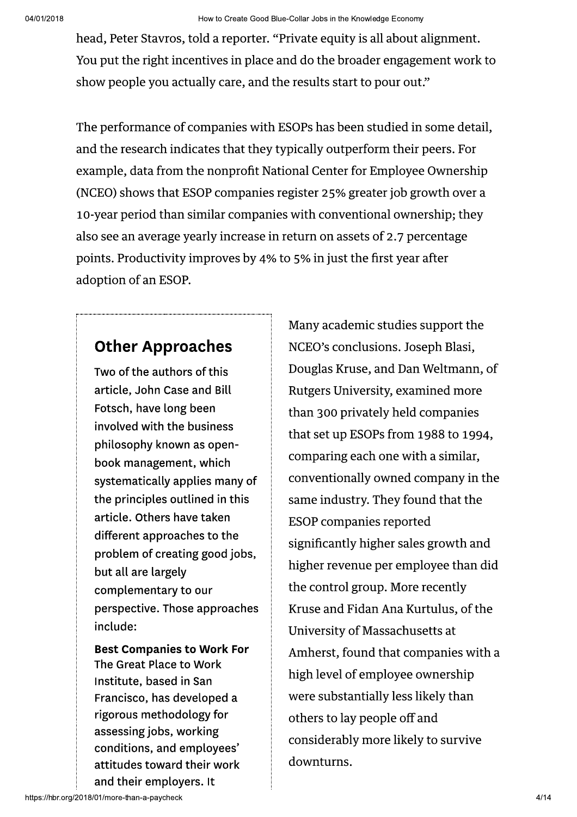head, Peter Stavros, told a reporter. "Private equity is all about alignment. You put the right incentives in place and do the broader engagement work to show people you actually care, and the results start to pour out."

The performance of companies with ESOPs has been studied in some detail, and the research indicates that they typically outperform their peers. For example, data from the nonprofit National Center for Employee Ownership (NCEO) shows that ESOP companies register 25% greater job growth over a 10-year period than similar companies with conventional ownership; they also see an average yearly increase in return on assets of 2.7 percentage points. Productivity improves by 4% to 5% in just the first year after adoption of an ESOP.

### **Other Approaches**

Two of the authors of this article, John Case and Bill Fotsch, have long been involved with the business philosophy known as openbook management, which systematically applies many of the principles outlined in this article. Others have taken different approaches to the problem of creating good jobs, but all are largely complementary to our perspective. Those approaches include:

**Best Companies to Work For** The Great Place to Work Institute, based in San Francisco, has developed a rigorous methodology for assessing jobs, working conditions, and employees' attitudes toward their work and their employers. It

Many academic studies support the NCEO's conclusions. Joseph Blasi, Douglas Kruse, and Dan Weltmann, of Rutgers University, examined more than 300 privately held companies that set up ESOPs from 1988 to 1994, comparing each one with a similar, conventionally owned company in the same industry. They found that the **ESOP** companies reported significantly higher sales growth and higher revenue per employee than did the control group. More recently Kruse and Fidan Ana Kurtulus, of the University of Massachusetts at Amherst, found that companies with a high level of employee ownership were substantially less likely than others to lay people off and considerably more likely to survive downturns.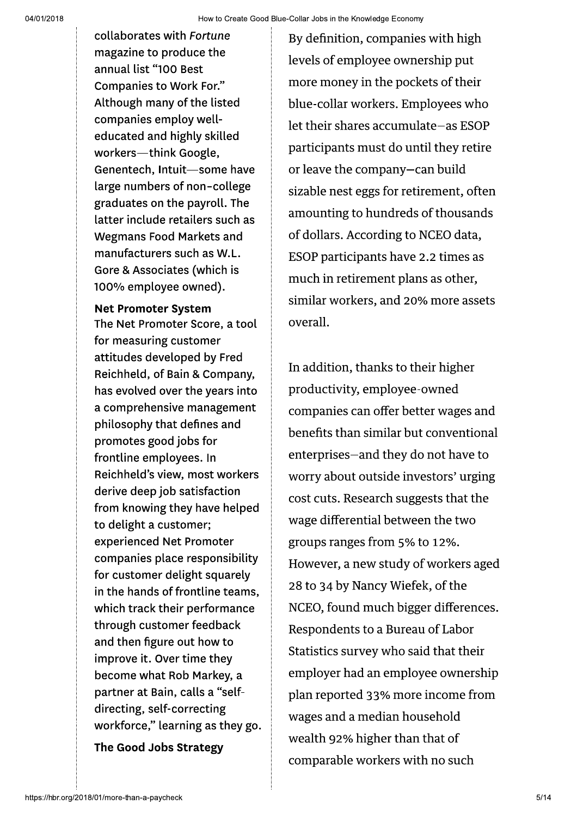collaborates with Fortune magazine to produce the annual list "100 Best **Companies to Work For."** Although many of the listed companies employ welleducated and highly skilled workers-think Google, Genentech, Intuit-some have large numbers of non-college graduates on the payroll. The latter include retailers such as **Wegmans Food Markets and** manufacturers such as W.L. Gore & Associates (which is 100% employee owned).

**Net Promoter System** 

The Net Promoter Score, a tool for measuring customer attitudes developed by Fred Reichheld, of Bain & Company, has evolved over the years into a comprehensive management philosophy that defines and promotes good jobs for frontline employees. In Reichheld's view, most workers derive deep job satisfaction from knowing they have helped to delight a customer; experienced Net Promoter companies place responsibility for customer delight squarely in the hands of frontline teams. which track their performance through customer feedback and then figure out how to improve it. Over time they become what Rob Markey, a partner at Bain, calls a "selfdirecting, self-correcting workforce," learning as they go.

The Good Jobs Strategy

By definition, companies with high levels of employee ownership put more money in the pockets of their blue-collar workers. Employees who let their shares accumulate-as ESOP participants must do until they retire or leave the company-can build sizable nest eggs for retirement, often amounting to hundreds of thousands of dollars. According to NCEO data, ESOP participants have 2.2 times as much in retirement plans as other, similar workers, and 20% more assets overall.

In addition, thanks to their higher productivity, employee-owned companies can offer better wages and benefits than similar but conventional enterprises-and they do not have to worry about outside investors' urging cost cuts. Research suggests that the wage differential between the two groups ranges from 5% to 12%. However, a new study of workers aged 28 to 34 by Nancy Wiefek, of the NCEO, found much bigger differences. Respondents to a Bureau of Labor Statistics survey who said that their employer had an employee ownership plan reported 33% more income from wages and a median household wealth 92% higher than that of comparable workers with no such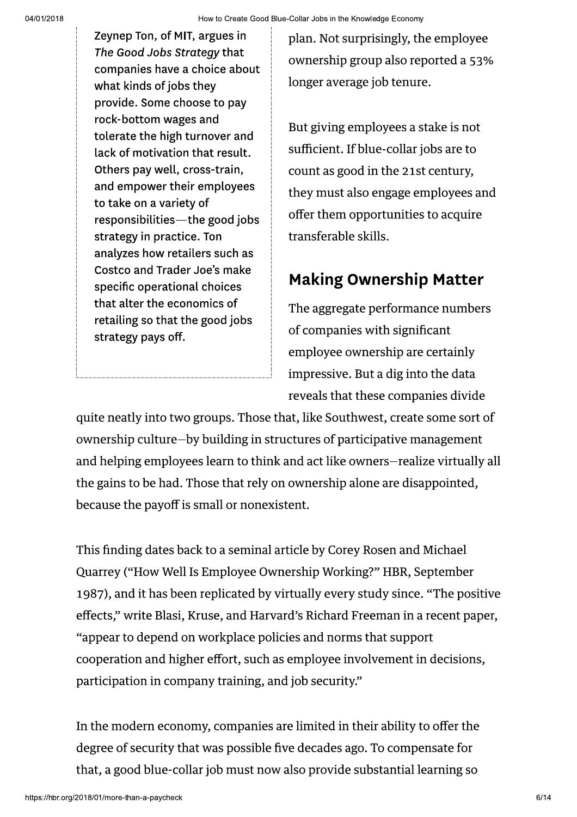<sup>04/01/2018</sup><br>
Zeynep Ton, of MIT, argue<br> *The Good Jobs Strategy t*<br>
companies have a choice<br>
what kinds of jobs they<br>
provide. Some choose to<br>
rock-bottom wages and<br>
tolerate the high turnove<br>
lack of motivation that re Ton, of MIT, argues in The Good Jobs Strategy that companies have a choice about what kinds of jobs they provide. Some choose to pay rock-bottom wages and tolerate the high turnover and lack of motivation that result. Others pay well, cross-train, and empower their employees to take on a variety of responsibilities—the good jobs strategy in practice. Ton analyzes how retailers such as Costco and Trader Joe's make specific operational choices that alter the economics of retailing so that the good jobs strategy pays off.

pian. Not surprisingly, the employee ownersnip group also reported a 53% ionger average job tenure.

But giving employees a stake is not  $\sup$  sumclent. If blue-collar jobs are to count as good in the 21st century, they must also engage employees and offer them opportunities to acquire transferable skills.

## **Making Ownership Matter**

The aggregate performance numbers of companies with significant employee ownership are certainly impressive. But a dig into the data reveals that these companies divide

quite neatly into two groups. Those that, like Southwest, create some sort of  $_{{\rm{ownersmp}}}$  culture—by building in structures of participative management  $\,$ and neiping employees learn to think and act like owners—realize virtually all  $\,$  $\mathop{\mathrm{tric}}$  gains to be had. Those that rely on ownership alone are disappointed, because the payon is small or nonexistent.

f his finding dates back to a seminal article by Corey Rosen and Michael Quarrey ("How well is Employee Ownership working?" HBR, September 1987), and it has been replicated by virtually every study since. "The positive effects," write Blasi, Kruse, and Harvard's Richard Freeman in a recent paper, appear to depend on workplace policies and norms that support " cooperation and higher effort, such as employee involvement in decisions,  $\bm{\beta}$ participation in company training, and job security. $\bm{\gamma}$ 

in the modern economy, companies are limited in their ability to offer the degree of security that was possible five decades ago. To compensate for  $\bm{\mathsf{max}}, \bm{\mathsf{a}}$  good blue-collar job must now also provide substantial learning so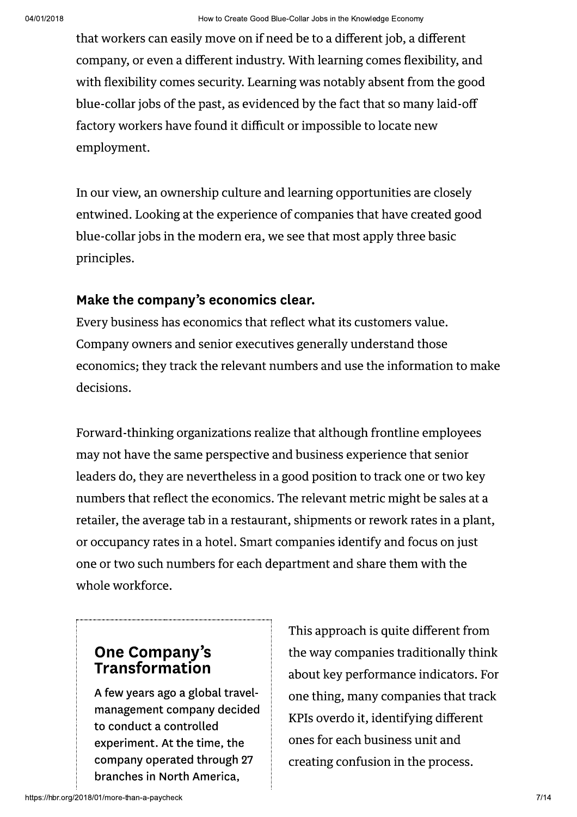that workers can easily move on if need be to a different job, a different company, or even a different industry. With learning comes flexibility, and with flexibility comes security. Learning was notably absent from the good blue-collar jobs of the past, as evidenced by the fact that so many laid-off factory workers have found it difficult or impossible to locate new employment.

In our view, an ownership culture and learning opportunities are closely entwined. Looking at the experience of companies that have created good blue-collar jobs in the modern era, we see that most apply three basic principles.

#### Make the company's economics clear.

Every business has economics that reflect what its customers value. Company owners and senior executives generally understand those economics; they track the relevant numbers and use the information to make decisions.

Forward-thinking organizations realize that although frontline employees may not have the same perspective and business experience that senior leaders do, they are nevertheless in a good position to track one or two key numbers that reflect the economics. The relevant metric might be sales at a retailer, the average tab in a restaurant, shipments or rework rates in a plant, or occupancy rates in a hotel. Smart companies identify and focus on just one or two such numbers for each department and share them with the whole workforce.

# One Company's<br>Transformation

A few years ago a global travelmanagement company decided to conduct a controlled experiment. At the time, the company operated through 27 branches in North America,

This approach is quite different from the way companies traditionally think about key performance indicators. For one thing, many companies that track KPIs overdo it, identifying different ones for each business unit and creating confusion in the process.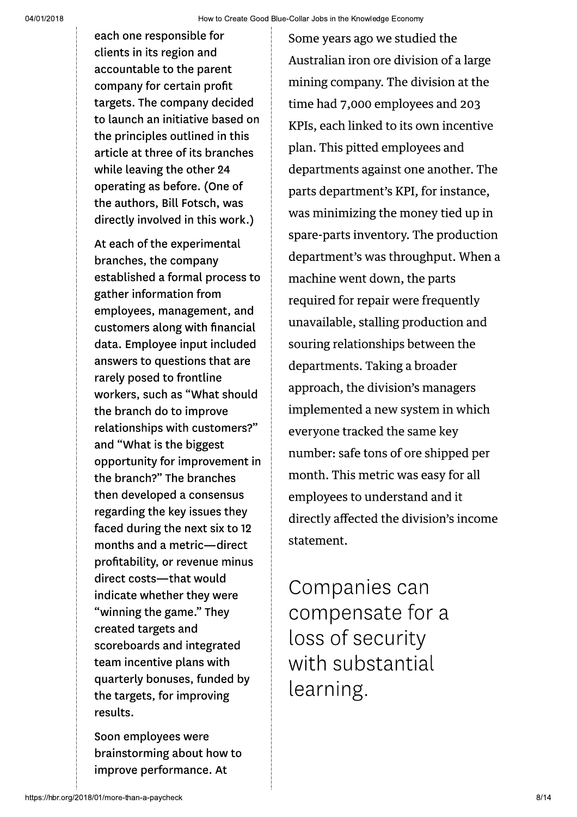each one responsible for clients in its region and accountable to the parent company for certain profit targets. The company decided to launch an initiative based on the principles outlined in this article at three of its branches while leaving the other 24 operating as before. (One of the authors, Bill Fotsch, was directly involved in this work.)

At each of the experimental branches, the company established a formal process to gather information from employees, management, and customers along with financial data. Employee input included answers to questions that are rarely posed to frontline workers, such as "What should the branch do to improve relationships with customers?" and "What is the biggest opportunity for improvement in the branch?" The branches then developed a consensus regarding the key issues they faced during the next six to 12 months and a metric-direct profitability, or revenue minus direct costs-that would indicate whether they were "winning the game." They created targets and scoreboards and integrated team incentive plans with quarterly bonuses, funded by the targets, for improving results.

Soon employees were brainstorming about how to improve performance. At

Some years ago we studied the Australian iron ore division of a large mining company. The division at the time had 7,000 employees and 203 KPIs, each linked to its own incentive plan. This pitted employees and departments against one another. The parts department's KPI, for instance, was minimizing the money tied up in spare-parts inventory. The production department's was throughput. When a machine went down, the parts required for repair were frequently unavailable, stalling production and souring relationships between the departments. Taking a broader approach, the division's managers implemented a new system in which everyone tracked the same key number: safe tons of ore shipped per month. This metric was easy for all employees to understand and it directly affected the division's income statement.

Companies can compensate for a loss of security with substantial learning.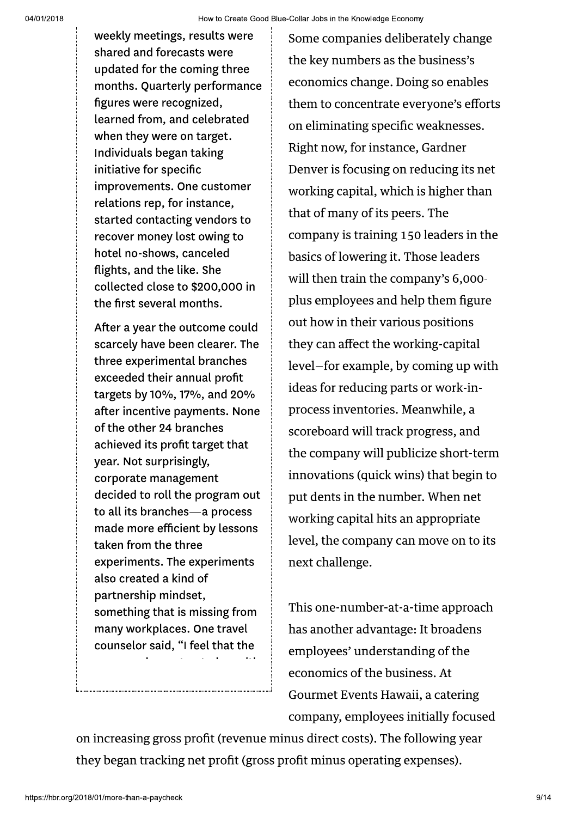weekly meetings, results were shared and forecasts were updated for the coming three months. Quarterly performance figures were recognized, learned from, and celebrated when they were on target. Individuals began taking initiative for specific improvements. One customer relations rep, for instance, started contacting vendors to recover money lost owing to hotel no-shows, canceled flights, and the like. She collected close to \$200,000 in the first several months.

After a year the outcome could scarcely have been clearer. The three experimental branches exceeded their annual profit targets by 10%, 17%, and 20% after incentive payments. None of the other 24 branches achieved its profit target that year. Not surprisingly, corporate management decided to roll the program out to all its branches-a process made more efficient by lessons taken from the three experiments. The experiments also created a kind of partnership mindset, something that is missing from many workplaces. One travel counselor said, "I feel that the

Some companies deliberately change the key numbers as the business's economics change. Doing so enables them to concentrate everyone's efforts on eliminating specific weaknesses. Right now, for instance, Gardner Denver is focusing on reducing its net working capital, which is higher than that of many of its peers. The company is training 150 leaders in the basics of lowering it. Those leaders will then train the company's 6,000plus employees and help them figure out how in their various positions they can affect the working-capital level-for example, by coming up with ideas for reducing parts or work-inprocess inventories. Meanwhile, a scoreboard will track progress, and the company will publicize short-term innovations (quick wins) that begin to put dents in the number. When net working capital hits an appropriate level, the company can move on to its next challenge.

This one-number-at-a-time approach has another advantage: It broadens employees' understanding of the economics of the business. At Gourmet Events Hawaii, a catering company, employees initially focused

on increasing gross profit (revenue minus direct costs). The following year they began tracking net profit (gross profit minus operating expenses).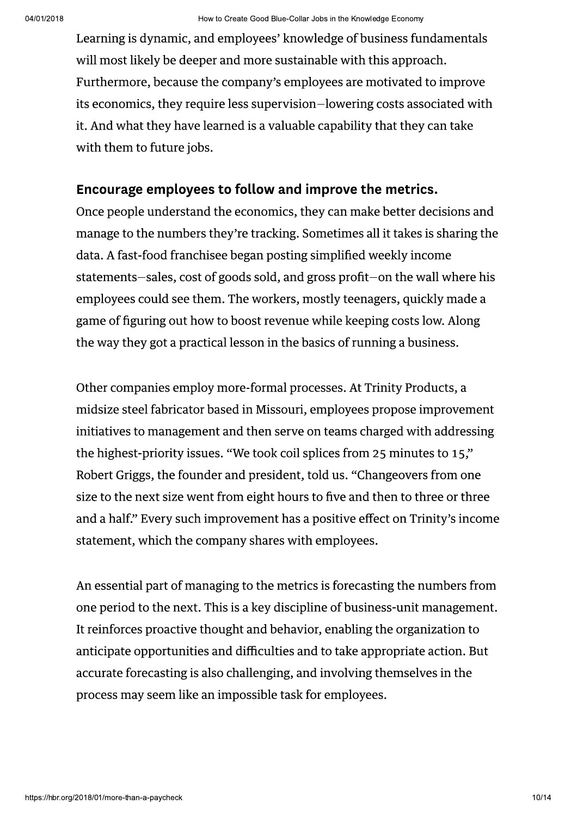Learning is dynamic, and employees' knowledge of business fundamentals will most likely be deeper and more sustainable with this approach. Furthermore, because the company's employees are motivated to improve its economics, they require less supervision–lowering costs associated with it. And what they have learned is a valuable capability that they can take with them to future jobs.

#### Encourage employees to follow and improve the metrics.

Once people understand the economics, they can make better decisions and manage to the numbers they're tracking. Sometimes all it takes is sharing the data. A fast-food franchisee began posting simplified weekly income statements-sales, cost of goods sold, and gross profit-on the wall where his employees could see them. The workers, mostly teenagers, quickly made a game of figuring out how to boost revenue while keeping costs low. Along the way they got a practical lesson in the basics of running a business.

Other companies employ more-formal processes. At Trinity Products, a midsize steel fabricator based in Missouri, employees propose improvement initiatives to management and then serve on teams charged with addressing the highest-priority issues. "We took coil splices from 25 minutes to 15," Robert Griggs, the founder and president, told us. "Changeovers from one size to the next size went from eight hours to five and then to three or three and a half." Every such improvement has a positive effect on Trinity's income statement, which the company shares with employees.

An essential part of managing to the metrics is forecasting the numbers from one period to the next. This is a key discipline of business-unit management. It reinforces proactive thought and behavior, enabling the organization to anticipate opportunities and difficulties and to take appropriate action. But accurate forecasting is also challenging, and involving themselves in the process may seem like an impossible task for employees.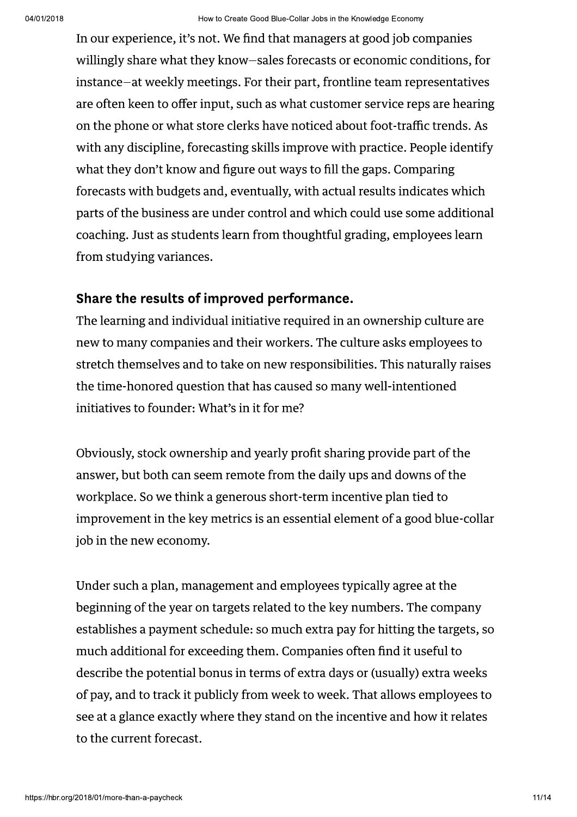In our experience, it's not. We find that managers at good job companies willingly share what they know-sales forecasts or economic conditions, for instance-at weekly meetings. For their part, frontline team representatives are often keen to offer input, such as what customer service reps are hearing on the phone or what store clerks have noticed about foot-traffic trends. As with any discipline, forecasting skills improve with practice. People identify what they don't know and figure out ways to fill the gaps. Comparing forecasts with budgets and, eventually, with actual results indicates which parts of the business are under control and which could use some additional coaching. Just as students learn from thoughtful grading, employees learn from studying variances.

#### Share the results of improved performance.

The learning and individual initiative required in an ownership culture are new to many companies and their workers. The culture asks employees to stretch themselves and to take on new responsibilities. This naturally raises the time-honored question that has caused so many well-intentioned initiatives to founder: What's in it for me?

Obviously, stock ownership and yearly profit sharing provide part of the answer, but both can seem remote from the daily ups and downs of the workplace. So we think a generous short-term incentive plan tied to improvement in the key metrics is an essential element of a good blue-collar job in the new economy.

Under such a plan, management and employees typically agree at the beginning of the year on targets related to the key numbers. The company establishes a payment schedule: so much extra pay for hitting the targets, so much additional for exceeding them. Companies often find it useful to describe the potential bonus in terms of extra days or (usually) extra weeks of pay, and to track it publicly from week to week. That allows employees to see at a glance exactly where they stand on the incentive and how it relates to the current forecast.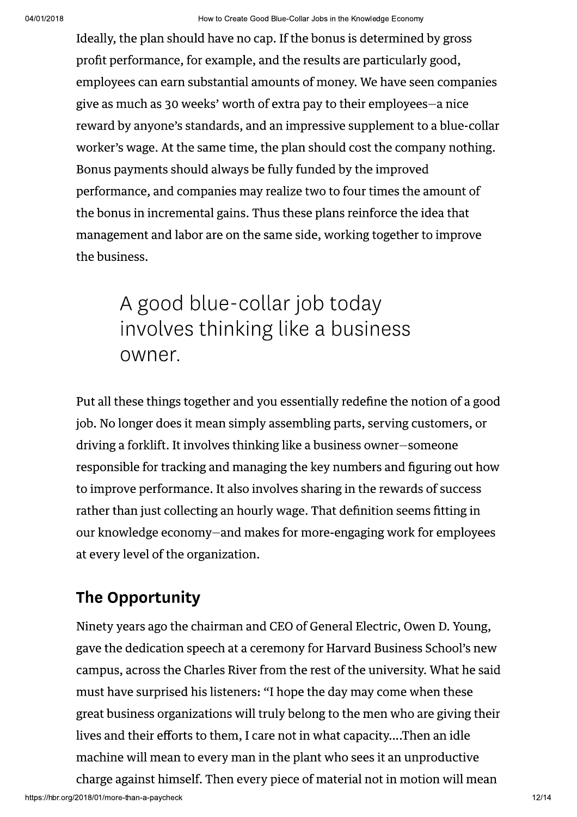Ideally, the plan should have no cap. If the bonus is determined by gross profit performance, for example, and the results are particularly good, employees can earn substantial amounts of money. We have seen companies give as much as 30 weeks' worth of extra pay to their employees-a nice reward by anyone's standards, and an impressive supplement to a blue-collar worker's wage. At the same time, the plan should cost the company nothing. Bonus payments should always be fully funded by the improved performance, and companies may realize two to four times the amount of the bonus in incremental gains. Thus these plans reinforce the idea that management and labor are on the same side, working together to improve the business.

## A good blue-collar job today involves thinking like a business owner.

Put all these things together and you essentially redefine the notion of a good job. No longer does it mean simply assembling parts, serving customers, or driving a forklift. It involves thinking like a business owner-someone responsible for tracking and managing the key numbers and figuring out how to improve performance. It also involves sharing in the rewards of success rather than just collecting an hourly wage. That definition seems fitting in our knowledge economy-and makes for more-engaging work for employees at every level of the organization.

## **The Opportunity**

Ninety years ago the chairman and CEO of General Electric, Owen D. Young, gave the dedication speech at a ceremony for Harvard Business School's new campus, across the Charles River from the rest of the university. What he said must have surprised his listeners: "I hope the day may come when these great business organizations will truly belong to the men who are giving their lives and their efforts to them, I care not in what capacity....Then an idle machine will mean to every man in the plant who sees it an unproductive charge against himself. Then every piece of material not in motion will mean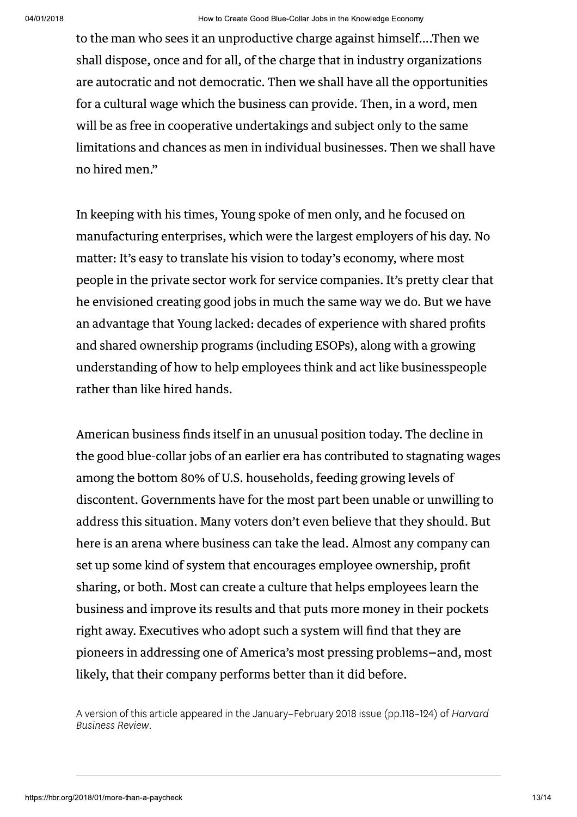to the man who sees it an unproductive charge against himself....Then we shall dispose, once and for all, of the charge that in industry organizations are autocratic and not democratic. Then we shall have all the opportunities for a cultural wage which the business can provide. Then, in a word, men will be as free in cooperative undertakings and subject only to the same limitations and chances as men in individual businesses. Then we shall have no hired men."

In keeping with his times, Young spoke of men only, and he focused on manufacturing enterprises, which were the largest employers of his day. No matter: It's easy to translate his vision to today's economy, where most people in the private sector work for service companies. It's pretty clear that he envisioned creating good jobs in much the same way we do. But we have an advantage that Young lacked: decades of experience with shared profits and shared ownership programs (including ESOPs), along with a growing understanding of how to help employees think and act like businesspeople rather than like hired hands.

American business finds itself in an unusual position today. The decline in the good blue-collar jobs of an earlier era has contributed to stagnating wages among the bottom 80% of U.S. households, feeding growing levels of discontent. Governments have for the most part been unable or unwilling to address this situation. Many voters don't even believe that they should. But here is an arena where business can take the lead. Almost any company can set up some kind of system that encourages employee ownership, profit sharing, or both. Most can create a culture that helps employees learn the business and improve its results and that puts more money in their pockets right away. Executives who adopt such a system will find that they are pioneers in addressing one of America's most pressing problems-and, most likely, that their company performs better than it did before.

A version of this article appeared in the January-February 2018 issue (pp.118-124) of Harvard **Business Review.**